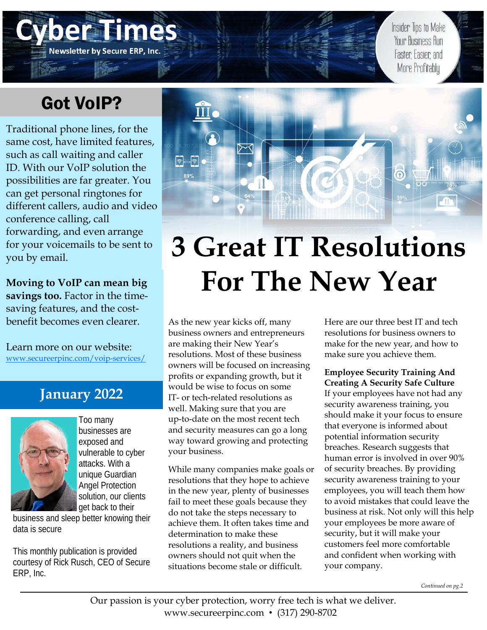# Got VoIP?

Newsletter by Secure ERP, Inc.

Traditional phone lines, for the same cost, have limited features, such as call waiting and caller ID. With our VoIP solution the possibilities are far greater. You can get personal ringtones for different callers, audio and video conference calling, call forwarding, and even arrange for your voicemails to be sent to you by email.

**Moving to VoIP can mean big savings too.** Factor in the timesaving features, and the costbenefit becomes even clearer.

Learn more on our website: www.secureerpinc.com/voip-services/

## **January 2022**



Too many businesses are exposed and vulnerable to cyber attacks. With a unique Guardian Angel Protection solution, our clients get back to their

business and sleep better knowing their data is secure

This monthly publication is provided courtesy of Rick Rusch, CEO of Secure ERP, Inc.



# **3 Great IT Resolutions For The New Year**

As the new year kicks off, many business owners and entrepreneurs are making their New Year's resolutions. Most of these business owners will be focused on increasing profits or expanding growth, but it would be wise to focus on some IT- or tech-related resolutions as well. Making sure that you are up-to-date on the most recent tech and security measures can go a long way toward growing and protecting your business.

While many companies make goals or resolutions that they hope to achieve in the new year, plenty of businesses fail to meet these goals because they do not take the steps necessary to achieve them. It often takes time and determination to make these resolutions a reality, and business owners should not quit when the situations become stale or difficult.

Here are our three best IT and tech resolutions for business owners to make for the new year, and how to make sure you achieve them.

Insider Tips to Make Your Business Run

Faster Easier and More Profitably

**Employee Security Training And Creating A Security Safe Culture**

If your employees have not had any security awareness training, you should make it your focus to ensure that everyone is informed about potential information security breaches. Research suggests that human error is involved in over 90% of security breaches. By providing security awareness training to your employees, you will teach them how to avoid mistakes that could leave the business at risk. Not only will this help your employees be more aware of security, but it will make your customers feel more comfortable and confident when working with your company.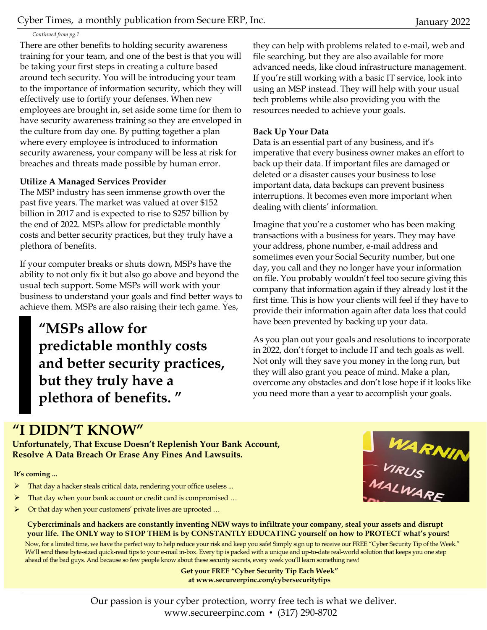#### *Continued from pg.1*

There are other benefits to holding security awareness training for your team, and one of the best is that you will be taking your first steps in creating a culture based around tech security. You will be introducing your team to the importance of information security, which they will effectively use to fortify your defenses. When new employees are brought in, set aside some time for them to have security awareness training so they are enveloped in the culture from day one. By putting together a plan where every employee is introduced to information security awareness, your company will be less at risk for breaches and threats made possible by human error.

#### **Utilize A Managed Services Provider**

The MSP industry has seen immense growth over the past five years. The market was valued at over \$152 billion in 2017 and is expected to rise to \$257 billion by the end of 2022. MSPs allow for predictable monthly costs and better security practices, but they truly have a plethora of benefits.

If your computer breaks or shuts down, MSPs have the ability to not only fix it but also go above and beyond the usual tech support. Some MSPs will work with your business to understand your goals and find better ways to achieve them. MSPs are also raising their tech game. Yes,

**"MSPs allow for predictable monthly costs and better security practices, but they truly have a plethora of benefits. "** 

they can help with problems related to e-mail, web and file searching, but they are also available for more advanced needs, like cloud infrastructure management. If you're still working with a basic IT service, look into using an MSP instead. They will help with your usual tech problems while also providing you with the resources needed to achieve your goals.

#### **Back Up Your Data**

Data is an essential part of any business, and it's imperative that every business owner makes an effort to back up their data. If important files are damaged or deleted or a disaster causes your business to lose important data, data backups can prevent business interruptions. It becomes even more important when dealing with clients' information.

Imagine that you're a customer who has been making transactions with a business for years. They may have your address, phone number, e-mail address and sometimes even your Social Security number, but one day, you call and they no longer have your information on file. You probably wouldn't feel too secure giving this company that information again if they already lost it the first time. This is how your clients will feel if they have to provide their information again after data loss that could have been prevented by backing up your data.

As you plan out your goals and resolutions to incorporate in 2022, don't forget to include IT and tech goals as well. Not only will they save you money in the long run, but they will also grant you peace of mind. Make a plan, overcome any obstacles and don't lose hope if it looks like you need more than a year to accomplish your goals.

## **"I DIDN'T KNOW"**

**Unfortunately, That Excuse Doesn't Replenish Your Bank Account, Resolve A Data Breach Or Erase Any Fines And Lawsuits.** 

**It's coming ...** 

- > That day a hacker steals critical data, rendering your office useless ...
- That day when your bank account or credit card is compromised …
- Or that day when your customers' private lives are uprooted …



**Cybercriminals and hackers are constantly inventing NEW ways to infiltrate your company, steal your assets and disrupt your life. The ONLY way to STOP THEM is by CONSTANTLY EDUCATING yourself on how to PROTECT what's yours!** 

Now, for a limited time, we have the perfect way to help reduce your risk and keep you safe! Simply sign up to receive our FREE "Cyber Security Tip of the Week." We'll send these byte-sized quick-read tips to your e-mail in-box. Every tip is packed with a unique and up-to-date real-world solution that keeps you one step ahead of the bad guys. And because so few people know about these security secrets, every week you'll learn something new!

> **Get your FREE "Cyber Security Tip Each Week" at www.secureerpinc.com/cybersecuritytips**

Our passion is your cyber protection, worry free tech is what we deliver. www.secureerpinc.com • (317) 290-8702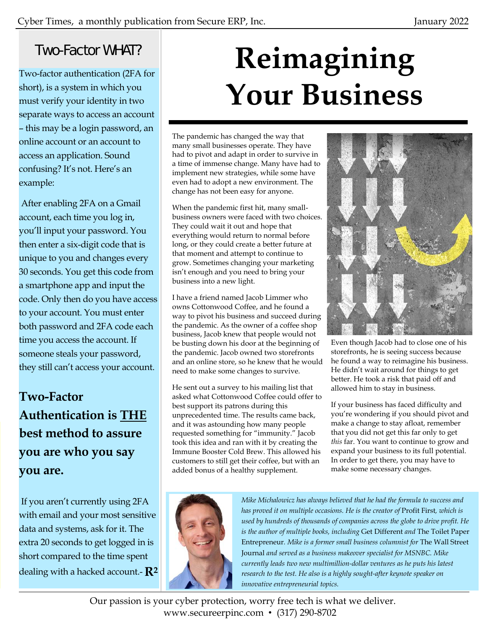## Two-Factor WHAT?

Two-factor authentication (2FA for short), is a system in which you must verify your identity in two separate ways to access an account – this may be a login password, an online account or an account to access an application. Sound confusing? It's not. Here's an example:

 After enabling 2FA on a Gmail account, each time you log in, you'll input your password. You then enter a six-digit code that is unique to you and changes every 30 seconds. You get this code from a smartphone app and input the code. Only then do you have access to your account. You must enter both password and 2FA code each time you access the account. If someone steals your password, they still can't access your account.

# **Two-Factor Authentication is THE best method to assure you are who you say you are.**

 If you aren't currently using 2FA with email and your most sensitive data and systems, ask for it. The extra 20 seconds to get logged in is short compared to the time spent dealing with a hacked account.- **R2**

# **Reimagining Your Business**

The pandemic has changed the way that many small businesses operate. They have had to pivot and adapt in order to survive in a time of immense change. Many have had to implement new strategies, while some have even had to adopt a new environment. The change has not been easy for anyone.

When the pandemic first hit, many smallbusiness owners were faced with two choices. They could wait it out and hope that everything would return to normal before long, or they could create a better future at that moment and attempt to continue to grow. Sometimes changing your marketing isn't enough and you need to bring your business into a new light.

I have a friend named Jacob Limmer who owns Cottonwood Coffee, and he found a way to pivot his business and succeed during the pandemic. As the owner of a coffee shop business, Jacob knew that people would not be busting down his door at the beginning of the pandemic. Jacob owned two storefronts and an online store, so he knew that he would need to make some changes to survive.

He sent out a survey to his mailing list that asked what Cottonwood Coffee could offer to best support its patrons during this unprecedented time. The results came back, and it was astounding how many people requested something for "immunity." Jacob took this idea and ran with it by creating the Immune Booster Cold Brew. This allowed his customers to still get their coffee, but with an added bonus of a healthy supplement.



Even though Jacob had to close one of his storefronts, he is seeing success because he found a way to reimagine his business. He didn't wait around for things to get better. He took a risk that paid off and allowed him to stay in business.

If your business has faced difficulty and you're wondering if you should pivot and make a change to stay afloat, remember that you did not get this far only to get *this* far. You want to continue to grow and expand your business to its full potential. In order to get there, you may have to make some necessary changes.



*Mike Michalowicz has always believed that he had the formula to success and has proved it on multiple occasions. He is the creator of* Profit First*, which is used by hundreds of thousands of companies across the globe to drive profit. He is the author of multiple books, including* Get Different *and* The Toilet Paper Entrepreneur*. Mike is a former small business columnist for* The Wall Street Journal *and served as a business makeover specialist for MSNBC. Mike currently leads two new multimillion-dollar ventures as he puts his latest*  research to the test. He also is a highly sought-after keynote speaker on *innovative entrepreneurial topics.* 

Our passion is your cyber protection, worry free tech is what we deliver. www.secureerpinc.com • (317) 290-8702